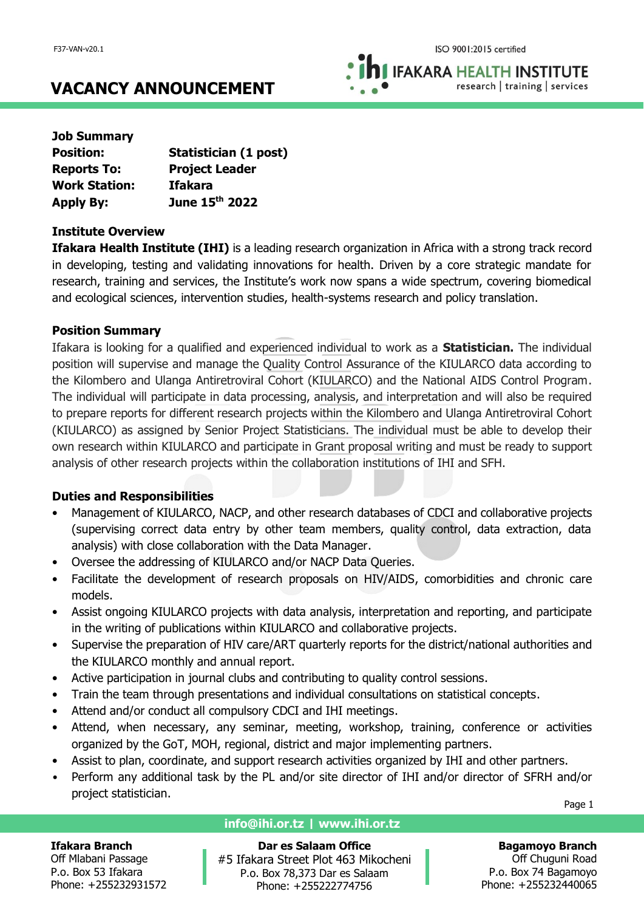**IFAKARA HEALTH INSTITUTE** research | training | services

# **VACANCY ANNOUNCEMENT**

| <b>Job Summary</b>   |                       |
|----------------------|-----------------------|
| <b>Position:</b>     | Statistician (1 post) |
| <b>Reports To:</b>   | <b>Project Leader</b> |
| <b>Work Station:</b> | <b>Ifakara</b>        |
| <b>Apply By:</b>     | June 15th 2022        |

## **Institute Overview**

**Ifakara Health Institute (IHI)** is a leading research organization in Africa with a strong track record in developing, testing and validating innovations for health. Driven by a core strategic mandate for research, training and services, the Institute's work now spans a wide spectrum, covering biomedical and ecological sciences, intervention studies, health-systems research and policy translation.

## **Position Summary**

Ifakara is looking for a qualified and experienced individual to work as a **Statistician.** The individual position will supervise and manage the Quality Control Assurance of the KIULARCO data according to the Kilombero and Ulanga Antiretroviral Cohort (KIULARCO) and the National AIDS Control Program. The individual will participate in data processing, analysis, and interpretation and will also be required to prepare reports for different research projects within the Kilombero and Ulanga Antiretroviral Cohort (KIULARCO) as assigned by Senior Project Statisticians. The individual must be able to develop their own research within KIULARCO and participate in Grant proposal writing and must be ready to support analysis of other research projects within the collaboration institutions of IHI and SFH.

## **Duties and Responsibilities**

- Management of KIULARCO, NACP, and other research databases of CDCI and collaborative projects (supervising correct data entry by other team members, quality control, data extraction, data analysis) with close collaboration with the Data Manager.
- Oversee the addressing of KIULARCO and/or NACP Data Queries.
- Facilitate the development of research proposals on HIV/AIDS, comorbidities and chronic care models.
- Assist ongoing KIULARCO projects with data analysis, interpretation and reporting, and participate in the writing of publications within KIULARCO and collaborative projects.
- Supervise the preparation of HIV care/ART quarterly reports for the district/national authorities and the KIULARCO monthly and annual report.
- Active participation in journal clubs and contributing to quality control sessions.
- Train the team through presentations and individual consultations on statistical concepts.
- Attend and/or conduct all compulsory CDCI and IHI meetings.
- Attend, when necessary, any seminar, meeting, workshop, training, conference or activities organized by the GoT, MOH, regional, district and major implementing partners.
- Assist to plan, coordinate, and support research activities organized by IHI and other partners.
- Perform any additional task by the PL and/or site director of IHI and/or director of SFRH and/or project statistician.

Page 1

## **Ifakara Branch**

Off Mlabani Passage P.o. Box 53 Ifakara Phone: +255232931572

## **info@ihi.or.tz | www.ihi.or.tz**

**Dar es Salaam Office** #5 Ifakara Street Plot 463 Mikocheni P.o. Box 78,373 Dar es Salaam Phone: +255222774756

**Bagamoyo Branch** Off Chuguni Road P.o. Box 74 Bagamoyo

Phone: +255232440065